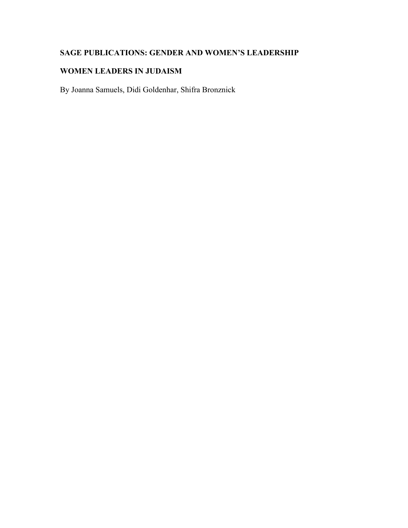# **SAGE PUBLICATIONS: GENDER AND WOMEN'S LEADERSHIP**

# **WOMEN LEADERS IN JUDAISM**

By Joanna Samuels, Didi Goldenhar, Shifra Bronznick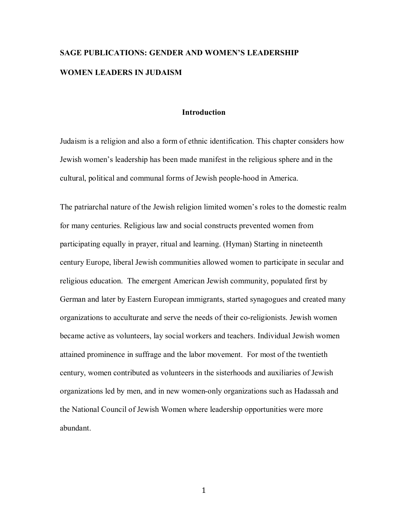# **SAGE PUBLICATIONS: GENDER AND WOMEN'S LEADERSHIP WOMEN LEADERS IN JUDAISM**

# **Introduction**

Judaism is a religion and also a form of ethnic identification. This chapter considers how Jewish women's leadership has been made manifest in the religious sphere and in the cultural, political and communal forms of Jewish people-hood in America.

The patriarchal nature of the Jewish religion limited women's roles to the domestic realm for many centuries. Religious law and social constructs prevented women from participating equally in prayer, ritual and learning. (Hyman) Starting in nineteenth century Europe, liberal Jewish communities allowed women to participate in secular and religious education. The emergent American Jewish community, populated first by German and later by Eastern European immigrants, started synagogues and created many organizations to acculturate and serve the needs of their co-religionists. Jewish women became active as volunteers, lay social workers and teachers. Individual Jewish women attained prominence in suffrage and the labor movement. For most of the twentieth century, women contributed as volunteers in the sisterhoods and auxiliaries of Jewish organizations led by men, and in new women-only organizations such as Hadassah and the National Council of Jewish Women where leadership opportunities were more abundant.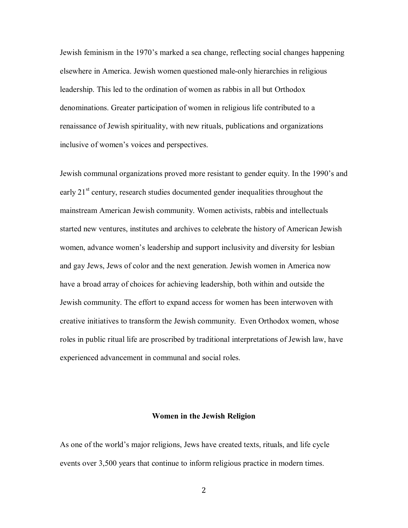Jewish feminism in the 1970's marked a sea change, reflecting social changes happening elsewhere in America. Jewish women questioned male-only hierarchies in religious leadership. This led to the ordination of women as rabbis in all but Orthodox denominations. Greater participation of women in religious life contributed to a renaissance of Jewish spirituality, with new rituals, publications and organizations inclusive of women's voices and perspectives.

Jewish communal organizations proved more resistant to gender equity. In the 1990's and early  $21<sup>st</sup>$  century, research studies documented gender inequalities throughout the mainstream American Jewish community. Women activists, rabbis and intellectuals started new ventures, institutes and archives to celebrate the history of American Jewish women, advance women's leadership and support inclusivity and diversity for lesbian and gay Jews, Jews of color and the next generation. Jewish women in America now have a broad array of choices for achieving leadership, both within and outside the Jewish community. The effort to expand access for women has been interwoven with creative initiatives to transform the Jewish community. Even Orthodox women, whose roles in public ritual life are proscribed by traditional interpretations of Jewish law, have experienced advancement in communal and social roles.

# **Women in the Jewish Religion**

As one of the world's major religions, Jews have created texts, rituals, and life cycle events over 3,500 years that continue to inform religious practice in modern times.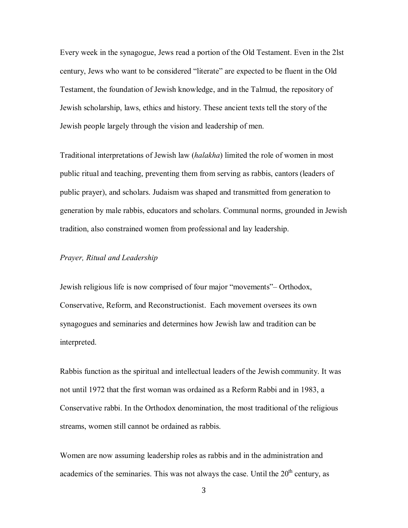Every week in the synagogue, Jews read a portion of the Old Testament. Even in the 2lst century, Jews who want to be considered "literate" are expected to be fluent in the Old Testament, the foundation of Jewish knowledge, and in the Talmud, the repository of Jewish scholarship, laws, ethics and history. These ancient texts tell the story of the Jewish people largely through the vision and leadership of men.

Traditional interpretations of Jewish law (*halakha*) limited the role of women in most public ritual and teaching, preventing them from serving as rabbis, cantors (leaders of public prayer), and scholars. Judaism was shaped and transmitted from generation to generation by male rabbis, educators and scholars. Communal norms, grounded in Jewish tradition, also constrained women from professional and lay leadership.

# *Prayer, Ritual and Leadership*

Jewish religious life is now comprised of four major "movements"– Orthodox, Conservative, Reform, and Reconstructionist. Each movement oversees its own synagogues and seminaries and determines how Jewish law and tradition can be interpreted.

Rabbis function as the spiritual and intellectual leaders of the Jewish community. It was not until 1972 that the first woman was ordained as a Reform Rabbi and in 1983, a Conservative rabbi. In the Orthodox denomination, the most traditional of the religious streams, women still cannot be ordained as rabbis.

Women are now assuming leadership roles as rabbis and in the administration and academics of the seminaries. This was not always the case. Until the  $20<sup>th</sup>$  century, as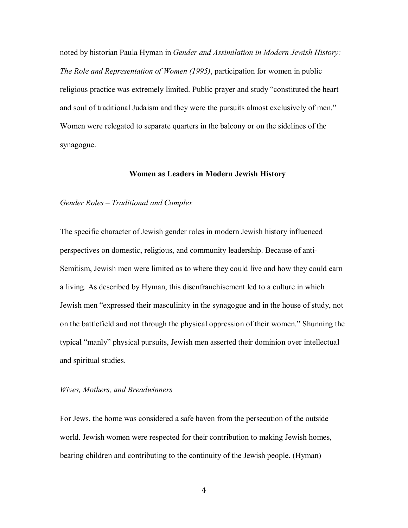noted by historian Paula Hyman in *Gender and Assimilation in Modern Jewish History: The Role and Representation of Women (1995)*, participation for women in public religious practice was extremely limited. Public prayer and study "constituted the heart and soul of traditional Judaism and they were the pursuits almost exclusively of men." Women were relegated to separate quarters in the balcony or on the sidelines of the synagogue.

# **Women as Leaders in Modern Jewish History**

# *Gender Roles – Traditional and Complex*

The specific character of Jewish gender roles in modern Jewish history influenced perspectives on domestic, religious, and community leadership. Because of anti-Semitism, Jewish men were limited as to where they could live and how they could earn a living. As described by Hyman, this disenfranchisement led to a culture in which Jewish men "expressed their masculinity in the synagogue and in the house of study, not on the battlefield and not through the physical oppression of their women." Shunning the typical "manly" physical pursuits, Jewish men asserted their dominion over intellectual and spiritual studies.

#### *Wives, Mothers, and Breadwinners*

For Jews, the home was considered a safe haven from the persecution of the outside world. Jewish women were respected for their contribution to making Jewish homes, bearing children and contributing to the continuity of the Jewish people. (Hyman)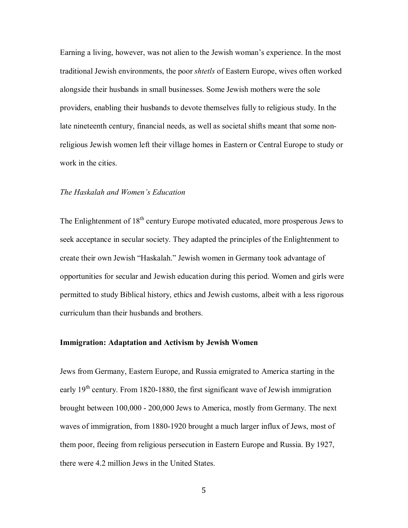Earning a living, however, was not alien to the Jewish woman's experience. In the most traditional Jewish environments, the poor *shtetls* of Eastern Europe, wives often worked alongside their husbands in small businesses. Some Jewish mothers were the sole providers, enabling their husbands to devote themselves fully to religious study. In the late nineteenth century, financial needs, as well as societal shifts meant that some nonreligious Jewish women left their village homes in Eastern or Central Europe to study or work in the cities.

#### *The Haskalah and Women's Education*

The Enlightenment of  $18<sup>th</sup>$  century Europe motivated educated, more prosperous Jews to seek acceptance in secular society. They adapted the principles of the Enlightenment to create their own Jewish "Haskalah." Jewish women in Germany took advantage of opportunities for secular and Jewish education during this period. Women and girls were permitted to study Biblical history, ethics and Jewish customs, albeit with a less rigorous curriculum than their husbands and brothers.

# **Immigration: Adaptation and Activism by Jewish Women**

Jews from Germany, Eastern Europe, and Russia emigrated to America starting in the early  $19<sup>th</sup>$  century. From 1820-1880, the first significant wave of Jewish immigration brought between 100,000 - 200,000 Jews to America, mostly from Germany. The next waves of immigration, from 1880-1920 brought a much larger influx of Jews, most of them poor, fleeing from religious persecution in Eastern Europe and Russia. By 1927, there were 4.2 million Jews in the United States.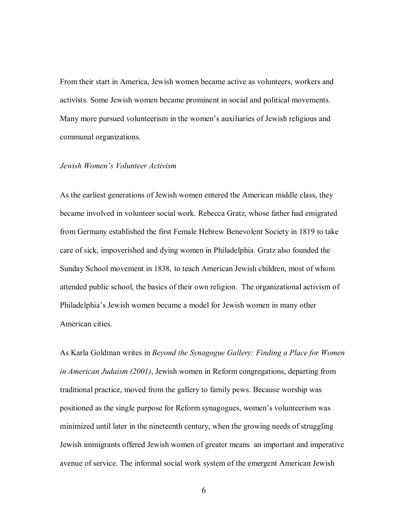From their start in America, Jewish women became active as volunteers, workers and activists. Some Jewish women became prominent in social and political movements. Many more pursued volunteerism in the women's auxiliaries of Jewish religious and communal organizations.

# *Jewish Women's Volunteer Activism*

As the earliest generations of Jewish women entered the American middle class, they became involved in volunteer social work. Rebecca Gratz, whose father had emigrated from Germany established the first Female Hebrew Benevolent Society in 1819 to take care of sick, impoverished and dying women in Philadelphia. Gratz also founded the Sunday School movement in 1838, to teach American Jewish children, most of whom attended public school, the basics of their own religion. The organizational activism of Philadelphia's Jewish women became a model for Jewish women in many other American cities.

As Karla Goldman writes in *Beyond the Synagogue Gallery: Finding a Place for Women in American Judaism (2001)*, Jewish women in Reform congregations, departing from traditional practice, moved from the gallery to family pews. Because worship was positioned as the single purpose for Reform synagogues, women's volunteerism was minimized until later in the nineteenth century, when the growing needs of struggling Jewish immigrants offered Jewish women of greater means an important and imperative avenue of service. The informal social work system of the emergent American Jewish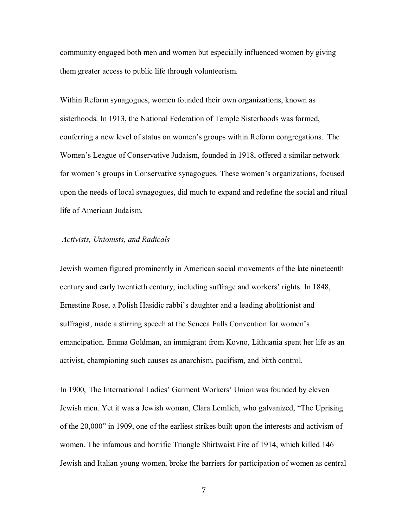community engaged both men and women but especially influenced women by giving them greater access to public life through volunteerism.

Within Reform synagogues, women founded their own organizations, known as sisterhoods. In 1913, the National Federation of Temple Sisterhoods was formed, conferring a new level of status on women's groups within Reform congregations. The Women's League of Conservative Judaism, founded in 1918, offered a similar network for women's groups in Conservative synagogues. These women's organizations, focused upon the needs of local synagogues, did much to expand and redefine the social and ritual life of American Judaism.

# *Activists, Unionists, and Radicals*

Jewish women figured prominently in American social movements of the late nineteenth century and early twentieth century, including suffrage and workers' rights. In 1848, Ernestine Rose, a Polish Hasidic rabbi's daughter and a leading abolitionist and suffragist, made a stirring speech at the Seneca Falls Convention for women's emancipation. Emma Goldman, an immigrant from Kovno, Lithuania spent her life as an activist, championing such causes as anarchism, pacifism, and birth control.

In 1900, The International Ladies' Garment Workers' Union was founded by eleven Jewish men. Yet it was a Jewish woman, Clara Lemlich, who galvanized, "The Uprising of the 20,000" in 1909, one of the earliest strikes built upon the interests and activism of women. The infamous and horrific Triangle Shirtwaist Fire of 1914, which killed 146 Jewish and Italian young women, broke the barriers for participation of women as central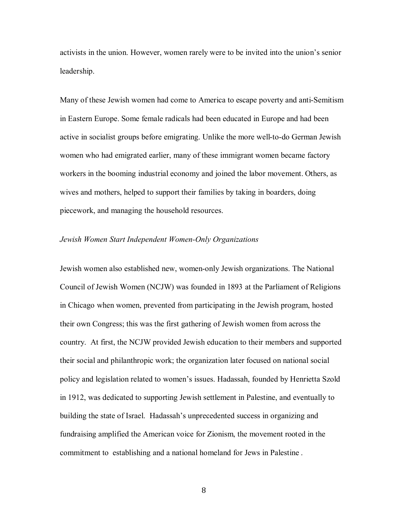activists in the union. However, women rarely were to be invited into the union's senior leadership.

Many of these Jewish women had come to America to escape poverty and anti-Semitism in Eastern Europe. Some female radicals had been educated in Europe and had been active in socialist groups before emigrating. Unlike the more well-to-do German Jewish women who had emigrated earlier, many of these immigrant women became factory workers in the booming industrial economy and joined the labor movement. Others, as wives and mothers, helped to support their families by taking in boarders, doing piecework, and managing the household resources.

# *Jewish Women Start Independent Women-Only Organizations*

Jewish women also established new, women-only Jewish organizations. The National Council of Jewish Women (NCJW) was founded in 1893 at the Parliament of Religions in Chicago when women, prevented from participating in the Jewish program, hosted their own Congress; this was the first gathering of Jewish women from across the country. At first, the NCJW provided Jewish education to their members and supported their social and philanthropic work; the organization later focused on national social policy and legislation related to women's issues. Hadassah, founded by Henrietta Szold in 1912, was dedicated to supporting Jewish settlement in Palestine, and eventually to building the state of Israel. Hadassah's unprecedented success in organizing and fundraising amplified the American voice for Zionism, the movement rooted in the commitment to establishing and a national homeland for Jews in Palestine .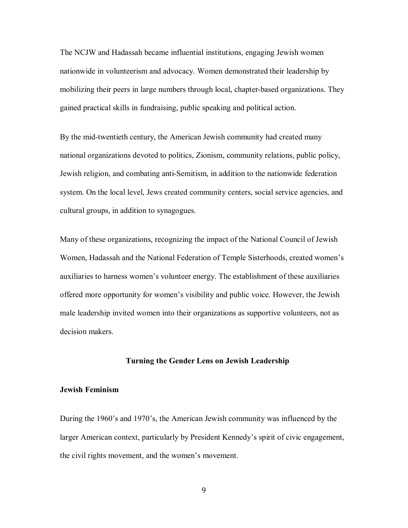The NCJW and Hadassah became influential institutions, engaging Jewish women nationwide in volunteerism and advocacy. Women demonstrated their leadership by mobilizing their peers in large numbers through local, chapter-based organizations. They gained practical skills in fundraising, public speaking and political action.

By the mid-twentieth century, the American Jewish community had created many national organizations devoted to politics, Zionism, community relations, public policy, Jewish religion, and combating anti-Semitism, in addition to the nationwide federation system. On the local level, Jews created community centers, social service agencies, and cultural groups, in addition to synagogues.

Many of these organizations, recognizing the impact of the National Council of Jewish Women, Hadassah and the National Federation of Temple Sisterhoods, created women's auxiliaries to harness women's volunteer energy. The establishment of these auxiliaries offered more opportunity for women's visibility and public voice. However, the Jewish male leadership invited women into their organizations as supportive volunteers, not as decision makers.

# **Turning the Gender Lens on Jewish Leadership**

# **Jewish Feminism**

During the 1960's and 1970's, the American Jewish community was influenced by the larger American context, particularly by President Kennedy's spirit of civic engagement, the civil rights movement, and the women's movement.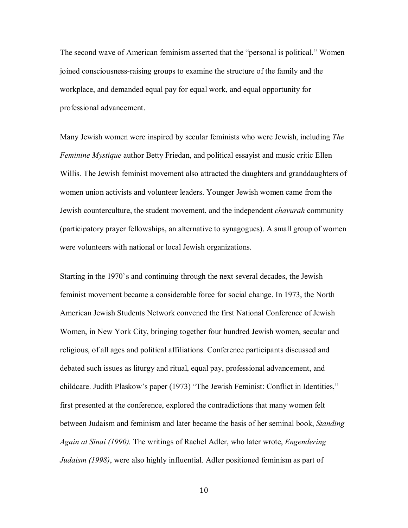The second wave of American feminism asserted that the "personal is political." Women joined consciousness-raising groups to examine the structure of the family and the workplace, and demanded equal pay for equal work, and equal opportunity for professional advancement.

Many Jewish women were inspired by secular feminists who were Jewish, including *The Feminine Mystique* author Betty Friedan, and political essayist and music critic Ellen Willis. The Jewish feminist movement also attracted the daughters and granddaughters of women union activists and volunteer leaders. Younger Jewish women came from the Jewish counterculture, the student movement, and the independent *chavurah* community (participatory prayer fellowships, an alternative to synagogues). A small group of women were volunteers with national or local Jewish organizations.

Starting in the 1970's and continuing through the next several decades, the Jewish feminist movement became a considerable force for social change. In 1973, the North American Jewish Students Network convened the first National Conference of Jewish Women, in New York City, bringing together four hundred Jewish women, secular and religious, of all ages and political affiliations. Conference participants discussed and debated such issues as liturgy and ritual, equal pay, professional advancement, and childcare. Judith Plaskow's paper (1973) "The Jewish Feminist: Conflict in Identities," first presented at the conference, explored the contradictions that many women felt between Judaism and feminism and later became the basis of her seminal book, *Standing Again at Sinai (1990).* The writings of Rachel Adler, who later wrote, *Engendering Judaism (1998)*, were also highly influential. Adler positioned feminism as part of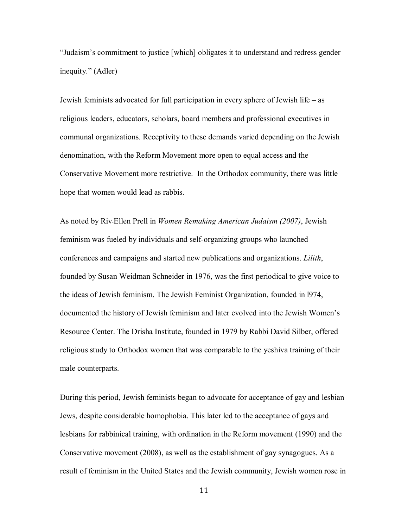"Judaism's commitment to justice [which] obligates it to understand and redress gender inequity." (Adler)

Jewish feminists advocated for full participation in every sphere of Jewish life – as religious leaders, educators, scholars, board members and professional executives in communal organizations. Receptivity to these demands varied depending on the Jewish denomination, with the Reform Movement more open to equal access and the Conservative Movement more restrictive. In the Orthodox community, there was little hope that women would lead as rabbis.

As noted by Riv‐Ellen Prell in *Women Remaking American Judaism (2007)*, Jewish feminism was fueled by individuals and self-organizing groups who launched conferences and campaigns and started new publications and organizations. *Lilith*, founded by Susan Weidman Schneider in 1976, was the first periodical to give voice to the ideas of Jewish feminism. The Jewish Feminist Organization, founded in l974, documented the history of Jewish feminism and later evolved into the Jewish Women's Resource Center. The Drisha Institute, founded in 1979 by Rabbi David Silber, offered religious study to Orthodox women that was comparable to the yeshiva training of their male counterparts.

During this period, Jewish feminists began to advocate for acceptance of gay and lesbian Jews, despite considerable homophobia. This later led to the acceptance of gays and lesbians for rabbinical training, with ordination in the Reform movement (1990) and the Conservative movement (2008), as well as the establishment of gay synagogues. As a result of feminism in the United States and the Jewish community, Jewish women rose in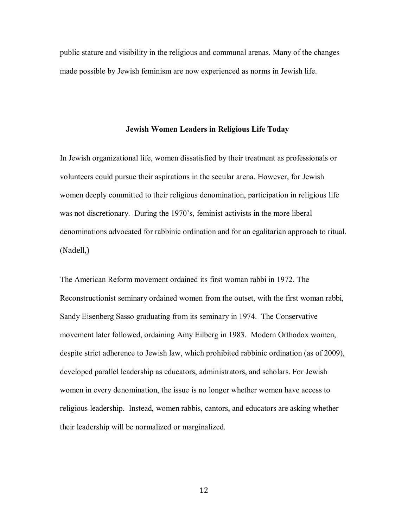public stature and visibility in the religious and communal arenas. Many of the changes made possible by Jewish feminism are now experienced as norms in Jewish life.

#### **Jewish Women Leaders in Religious Life Today**

In Jewish organizational life, women dissatisfied by their treatment as professionals or volunteers could pursue their aspirations in the secular arena. However, for Jewish women deeply committed to their religious denomination, participation in religious life was not discretionary. During the 1970's, feminist activists in the more liberal denominations advocated for rabbinic ordination and for an egalitarian approach to ritual. (Nadell,)

The American Reform movement ordained its first woman rabbi in 1972. The Reconstructionist seminary ordained women from the outset, with the first woman rabbi, Sandy Eisenberg Sasso graduating from its seminary in 1974. The Conservative movement later followed, ordaining Amy Eilberg in 1983. Modern Orthodox women, despite strict adherence to Jewish law, which prohibited rabbinic ordination (as of 2009), developed parallel leadership as educators, administrators, and scholars. For Jewish women in every denomination, the issue is no longer whether women have access to religious leadership. Instead, women rabbis, cantors, and educators are asking whether their leadership will be normalized or marginalized.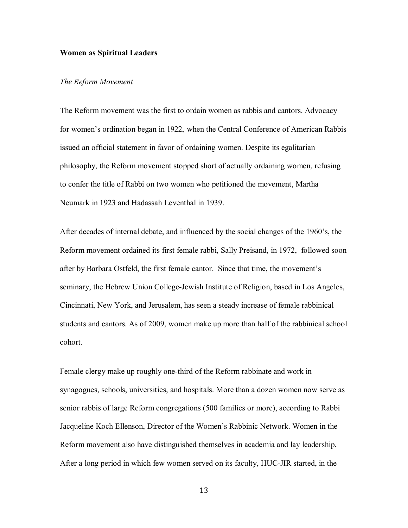# **Women as Spiritual Leaders**

# *The Reform Movement*

The Reform movement was the first to ordain women as rabbis and cantors. Advocacy for women's ordination began in 1922, when the Central Conference of American Rabbis issued an official statement in favor of ordaining women. Despite its egalitarian philosophy, the Reform movement stopped short of actually ordaining women, refusing to confer the title of Rabbi on two women who petitioned the movement, Martha Neumark in 1923 and Hadassah Leventhal in 1939.

After decades of internal debate, and influenced by the social changes of the 1960's, the Reform movement ordained its first female rabbi, Sally Preisand, in 1972, followed soon after by Barbara Ostfeld, the first female cantor. Since that time, the movement's seminary, the Hebrew Union College-Jewish Institute of Religion, based in Los Angeles, Cincinnati, New York, and Jerusalem, has seen a steady increase of female rabbinical students and cantors. As of 2009, women make up more than half of the rabbinical school cohort.

Female clergy make up roughly one-third of the Reform rabbinate and work in synagogues, schools, universities, and hospitals. More than a dozen women now serve as senior rabbis of large Reform congregations (500 families or more), according to Rabbi Jacqueline Koch Ellenson, Director of the Women's Rabbinic Network. Women in the Reform movement also have distinguished themselves in academia and lay leadership. After a long period in which few women served on its faculty, HUC-JIR started, in the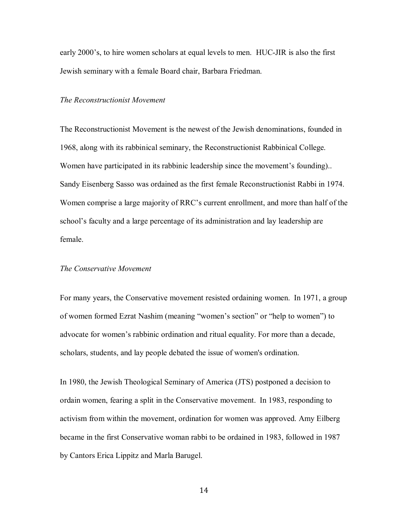early 2000's, to hire women scholars at equal levels to men. HUC-JIR is also the first Jewish seminary with a female Board chair, Barbara Friedman.

# *The Reconstructionist Movement*

The Reconstructionist Movement is the newest of the Jewish denominations, founded in 1968, along with its rabbinical seminary, the Reconstructionist Rabbinical College. Women have participated in its rabbinic leadership since the movement's founding).. Sandy Eisenberg Sasso was ordained as the first female Reconstructionist Rabbi in 1974. Women comprise a large majority of RRC's current enrollment, and more than half of the school's faculty and a large percentage of its administration and lay leadership are female.

# *The Conservative Movement*

For many years, the Conservative movement resisted ordaining women. In 1971, a group of women formed Ezrat Nashim (meaning "women's section" or "help to women") to advocate for women's rabbinic ordination and ritual equality. For more than a decade, scholars, students, and lay people debated the issue of women's ordination.

In 1980, the Jewish Theological Seminary of America (JTS) postponed a decision to ordain women, fearing a split in the Conservative movement. In 1983, responding to activism from within the movement, ordination for women was approved. Amy Eilberg became in the first Conservative woman rabbi to be ordained in 1983, followed in 1987 by Cantors Erica Lippitz and Marla Barugel.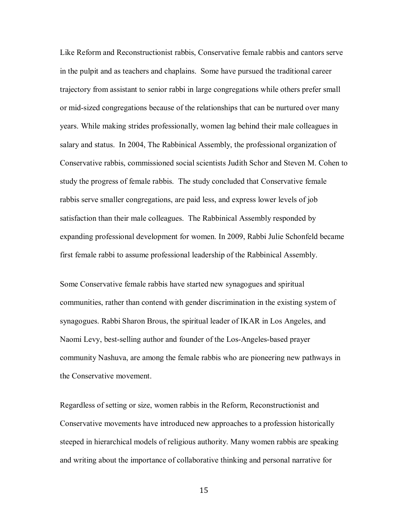Like Reform and Reconstructionist rabbis, Conservative female rabbis and cantors serve in the pulpit and as teachers and chaplains. Some have pursued the traditional career trajectory from assistant to senior rabbi in large congregations while others prefer small or mid-sized congregations because of the relationships that can be nurtured over many years. While making strides professionally, women lag behind their male colleagues in salary and status. In 2004, The Rabbinical Assembly, the professional organization of Conservative rabbis, commissioned social scientists Judith Schor and Steven M. Cohen to study the progress of female rabbis. The study concluded that Conservative female rabbis serve smaller congregations, are paid less, and express lower levels of job satisfaction than their male colleagues. The Rabbinical Assembly responded by expanding professional development for women. In 2009, Rabbi Julie Schonfeld became first female rabbi to assume professional leadership of the Rabbinical Assembly.

Some Conservative female rabbis have started new synagogues and spiritual communities, rather than contend with gender discrimination in the existing system of synagogues. Rabbi Sharon Brous, the spiritual leader of IKAR in Los Angeles, and Naomi Levy, best-selling author and founder of the Los-Angeles-based prayer community Nashuva, are among the female rabbis who are pioneering new pathways in the Conservative movement.

Regardless of setting or size, women rabbis in the Reform, Reconstructionist and Conservative movements have introduced new approaches to a profession historically steeped in hierarchical models of religious authority. Many women rabbis are speaking and writing about the importance of collaborative thinking and personal narrative for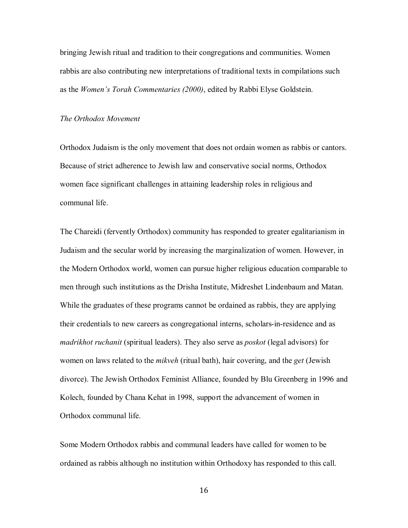bringing Jewish ritual and tradition to their congregations and communities. Women rabbis are also contributing new interpretations of traditional texts in compilations such as the *Women's Torah Commentaries (2000)*, edited by Rabbi Elyse Goldstein.

# *The Orthodox Movement*

Orthodox Judaism is the only movement that does not ordain women as rabbis or cantors. Because of strict adherence to Jewish law and conservative social norms, Orthodox women face significant challenges in attaining leadership roles in religious and communal life.

The Chareidi (fervently Orthodox) community has responded to greater egalitarianism in Judaism and the secular world by increasing the marginalization of women. However, in the Modern Orthodox world, women can pursue higher religious education comparable to men through such institutions as the Drisha Institute, Midreshet Lindenbaum and Matan. While the graduates of these programs cannot be ordained as rabbis, they are applying their credentials to new careers as congregational interns, scholars-in-residence and as *madrikhot ruchanit* (spiritual leaders). They also serve as *poskot* (legal advisors) for women on laws related to the *mikveh* (ritual bath), hair covering, and the *get* (Jewish divorce). The Jewish Orthodox Feminist Alliance, founded by Blu Greenberg in 1996 and Kolech, founded by Chana Kehat in 1998, support the advancement of women in Orthodox communal life.

Some Modern Orthodox rabbis and communal leaders have called for women to be ordained as rabbis although no institution within Orthodoxy has responded to this call.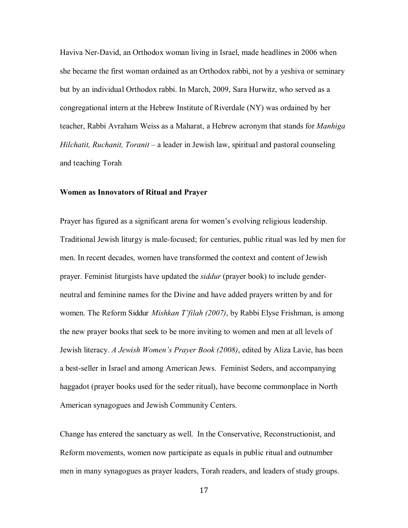Haviva Ner-David, an Orthodox woman living in Israel, made headlines in 2006 when she became the first woman ordained as an Orthodox rabbi, not by a yeshiva or seminary but by an individual Orthodox rabbi. In March, 2009, Sara Hurwitz, who served as a congregational intern at the Hebrew Institute of Riverdale (NY) was ordained by her teacher, Rabbi Avraham Weiss as a Maharat, a Hebrew acronym that stands for *Manhiga Hilchatit, Ruchanit, Toranit* – a leader in Jewish law, spiritual and pastoral counseling and teaching Torah

## **Women as Innovators of Ritual and Prayer**

Prayer has figured as a significant arena for women's evolving religious leadership. Traditional Jewish liturgy is male-focused; for centuries, public ritual was led by men for men. In recent decades, women have transformed the context and content of Jewish prayer. Feminist liturgists have updated the *siddur* (prayer book) to include genderneutral and feminine names for the Divine and have added prayers written by and for women. The Reform Siddur *Mishkan T'filah (2007)*, by Rabbi Elyse Frishman, is among the new prayer books that seek to be more inviting to women and men at all levels of Jewish literacy. *A Jewish Women's Prayer Book (2008)*, edited by Aliza Lavie, has been a best-seller in Israel and among American Jews. Feminist Seders, and accompanying haggadot (prayer books used for the seder ritual), have become commonplace in North American synagogues and Jewish Community Centers.

Change has entered the sanctuary as well. In the Conservative, Reconstructionist, and Reform movements, women now participate as equals in public ritual and outnumber men in many synagogues as prayer leaders, Torah readers, and leaders of study groups.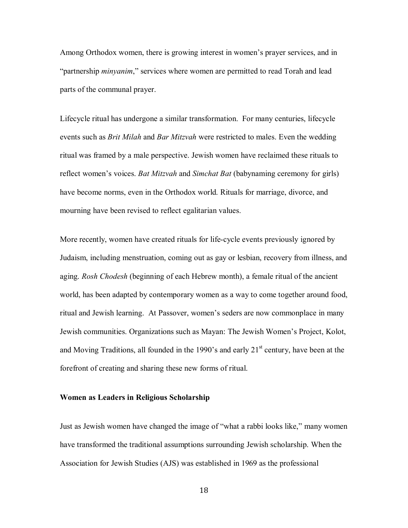Among Orthodox women, there is growing interest in women's prayer services, and in "partnership *minyanim*," services where women are permitted to read Torah and lead parts of the communal prayer.

Lifecycle ritual has undergone a similar transformation. For many centuries, lifecycle events such as *Brit Milah* and *Bar Mitzvah* were restricted to males. Even the wedding ritual was framed by a male perspective. Jewish women have reclaimed these rituals to reflect women's voices. *Bat Mitzvah* and *Simchat Bat* (babynaming ceremony for girls) have become norms, even in the Orthodox world. Rituals for marriage, divorce, and mourning have been revised to reflect egalitarian values.

More recently, women have created rituals for life-cycle events previously ignored by Judaism, including menstruation, coming out as gay or lesbian, recovery from illness, and aging. *Rosh Chodesh* (beginning of each Hebrew month), a female ritual of the ancient world, has been adapted by contemporary women as a way to come together around food, ritual and Jewish learning. At Passover, women's seders are now commonplace in many Jewish communities. Organizations such as Mayan: The Jewish Women's Project, Kolot, and Moving Traditions, all founded in the 1990's and early  $21<sup>st</sup>$  century, have been at the forefront of creating and sharing these new forms of ritual.

# **Women as Leaders in Religious Scholarship**

Just as Jewish women have changed the image of "what a rabbi looks like," many women have transformed the traditional assumptions surrounding Jewish scholarship. When the Association for Jewish Studies (AJS) was established in 1969 as the professional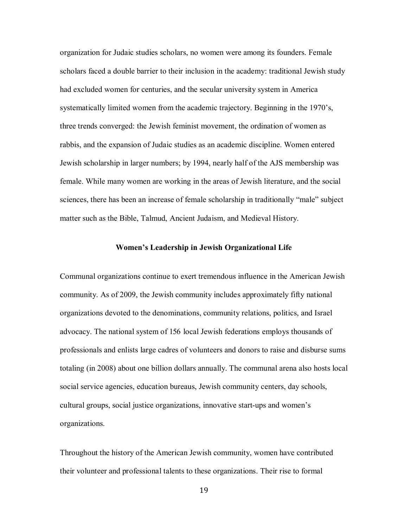organization for Judaic studies scholars, no women were among its founders. Female scholars faced a double barrier to their inclusion in the academy: traditional Jewish study had excluded women for centuries, and the secular university system in America systematically limited women from the academic trajectory. Beginning in the 1970's, three trends converged: the Jewish feminist movement, the ordination of women as rabbis, and the expansion of Judaic studies as an academic discipline. Women entered Jewish scholarship in larger numbers; by 1994, nearly half of the AJS membership was female. While many women are working in the areas of Jewish literature, and the social sciences, there has been an increase of female scholarship in traditionally "male" subject matter such as the Bible, Talmud, Ancient Judaism, and Medieval History.

# **Women's Leadership in Jewish Organizational Life**

Communal organizations continue to exert tremendous influence in the American Jewish community. As of 2009, the Jewish community includes approximately fifty national organizations devoted to the denominations, community relations, politics, and Israel advocacy. The national system of 156 local Jewish federations employs thousands of professionals and enlists large cadres of volunteers and donors to raise and disburse sums totaling (in 2008) about one billion dollars annually. The communal arena also hosts local social service agencies, education bureaus, Jewish community centers, day schools, cultural groups, social justice organizations, innovative start-ups and women's organizations.

Throughout the history of the American Jewish community, women have contributed their volunteer and professional talents to these organizations. Their rise to formal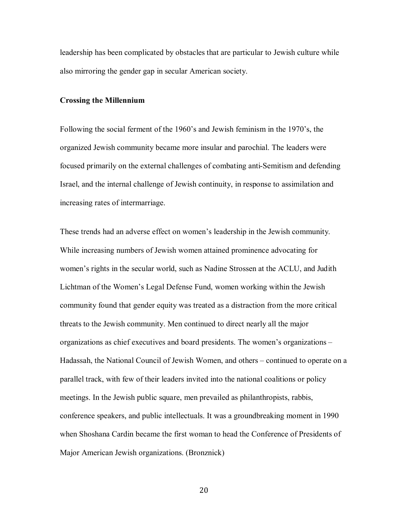leadership has been complicated by obstacles that are particular to Jewish culture while also mirroring the gender gap in secular American society.

# **Crossing the Millennium**

Following the social ferment of the 1960's and Jewish feminism in the 1970's, the organized Jewish community became more insular and parochial. The leaders were focused primarily on the external challenges of combating anti-Semitism and defending Israel, and the internal challenge of Jewish continuity, in response to assimilation and increasing rates of intermarriage.

These trends had an adverse effect on women's leadership in the Jewish community. While increasing numbers of Jewish women attained prominence advocating for women's rights in the secular world, such as Nadine Strossen at the ACLU, and Judith Lichtman of the Women's Legal Defense Fund, women working within the Jewish community found that gender equity was treated as a distraction from the more critical threats to the Jewish community. Men continued to direct nearly all the major organizations as chief executives and board presidents. The women's organizations – Hadassah, the National Council of Jewish Women, and others – continued to operate on a parallel track, with few of their leaders invited into the national coalitions or policy meetings. In the Jewish public square, men prevailed as philanthropists, rabbis, conference speakers, and public intellectuals. It was a groundbreaking moment in 1990 when Shoshana Cardin became the first woman to head the Conference of Presidents of Major American Jewish organizations. (Bronznick)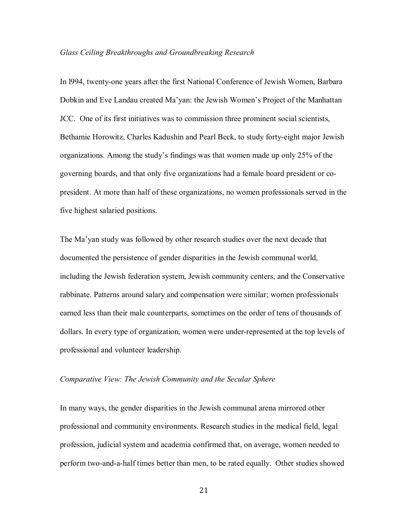#### *Glass Ceiling Breakthroughs and Groundbreaking Research*

In l994, twenty-one years after the first National Conference of Jewish Women, Barbara Dobkin and Eve Landau created Ma'yan: the Jewish Women's Project of the Manhattan JCC. One of its first initiatives was to commission three prominent social scientists, Bethamie Horowitz, Charles Kadushin and Pearl Beck, to study forty-eight major Jewish organizations. Among the study's findings was that women made up only 25% of the governing boards, and that only five organizations had a female board president or copresident. At more than half of these organizations, no women professionals served in the five highest salaried positions.

The Ma'yan study was followed by other research studies over the next decade that documented the persistence of gender disparities in the Jewish communal world, including the Jewish federation system, Jewish community centers, and the Conservative rabbinate. Patterns around salary and compensation were similar; women professionals earned less than their male counterparts, sometimes on the order of tens of thousands of dollars. In every type of organization, women were under-represented at the top levels of professional and volunteer leadership.

# *Comparative View: The Jewish Community and the Secular Sphere*

In many ways, the gender disparities in the Jewish communal arena mirrored other professional and community environments. Research studies in the medical field, legal profession, judicial system and academia confirmed that, on average, women needed to perform two-and-a-half times better than men, to be rated equally. Other studies showed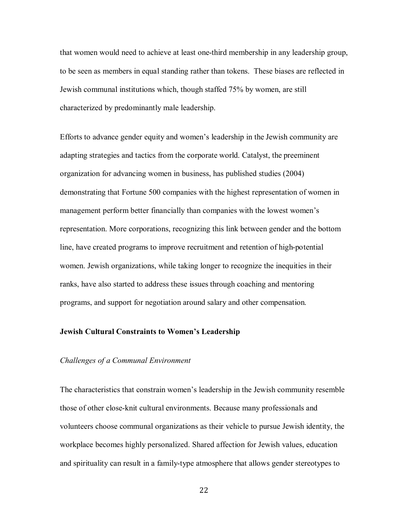that women would need to achieve at least one-third membership in any leadership group, to be seen as members in equal standing rather than tokens. These biases are reflected in Jewish communal institutions which, though staffed 75% by women, are still characterized by predominantly male leadership.

Efforts to advance gender equity and women's leadership in the Jewish community are adapting strategies and tactics from the corporate world. Catalyst, the preeminent organization for advancing women in business, has published studies (2004) demonstrating that Fortune 500 companies with the highest representation of women in management perform better financially than companies with the lowest women's representation. More corporations, recognizing this link between gender and the bottom line, have created programs to improve recruitment and retention of high-potential women. Jewish organizations, while taking longer to recognize the inequities in their ranks, have also started to address these issues through coaching and mentoring programs, and support for negotiation around salary and other compensation.

# **Jewish Cultural Constraints to Women's Leadership**

# *Challenges of a Communal Environment*

The characteristics that constrain women's leadership in the Jewish community resemble those of other close-knit cultural environments. Because many professionals and volunteers choose communal organizations as their vehicle to pursue Jewish identity, the workplace becomes highly personalized. Shared affection for Jewish values, education and spirituality can result in a family-type atmosphere that allows gender stereotypes to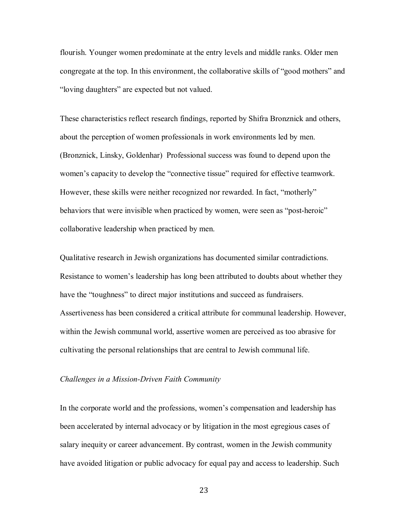flourish. Younger women predominate at the entry levels and middle ranks. Older men congregate at the top. In this environment, the collaborative skills of "good mothers" and "loving daughters" are expected but not valued.

These characteristics reflect research findings, reported by Shifra Bronznick and others, about the perception of women professionals in work environments led by men. (Bronznick, Linsky, Goldenhar) Professional success was found to depend upon the women's capacity to develop the "connective tissue" required for effective teamwork. However, these skills were neither recognized nor rewarded. In fact, "motherly" behaviors that were invisible when practiced by women, were seen as "post-heroic" collaborative leadership when practiced by men.

Qualitative research in Jewish organizations has documented similar contradictions. Resistance to women's leadership has long been attributed to doubts about whether they have the "toughness" to direct major institutions and succeed as fundraisers. Assertiveness has been considered a critical attribute for communal leadership. However, within the Jewish communal world, assertive women are perceived as too abrasive for cultivating the personal relationships that are central to Jewish communal life.

# *Challenges in a Mission-Driven Faith Community*

In the corporate world and the professions, women's compensation and leadership has been accelerated by internal advocacy or by litigation in the most egregious cases of salary inequity or career advancement. By contrast, women in the Jewish community have avoided litigation or public advocacy for equal pay and access to leadership. Such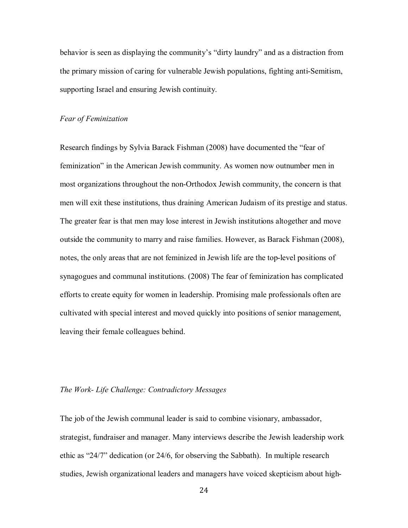behavior is seen as displaying the community's "dirty laundry" and as a distraction from the primary mission of caring for vulnerable Jewish populations, fighting anti-Semitism, supporting Israel and ensuring Jewish continuity.

# *Fear of Feminization*

Research findings by Sylvia Barack Fishman (2008) have documented the "fear of feminization" in the American Jewish community. As women now outnumber men in most organizations throughout the non-Orthodox Jewish community, the concern is that men will exit these institutions, thus draining American Judaism of its prestige and status. The greater fear is that men may lose interest in Jewish institutions altogether and move outside the community to marry and raise families. However, as Barack Fishman (2008), notes, the only areas that are not feminized in Jewish life are the top-level positions of synagogues and communal institutions. (2008) The fear of feminization has complicated efforts to create equity for women in leadership. Promising male professionals often are cultivated with special interest and moved quickly into positions of senior management, leaving their female colleagues behind.

# *The Work- Life Challenge: Contradictory Messages*

The job of the Jewish communal leader is said to combine visionary, ambassador, strategist, fundraiser and manager. Many interviews describe the Jewish leadership work ethic as "24/7" dedication (or 24/6, for observing the Sabbath). In multiple research studies, Jewish organizational leaders and managers have voiced skepticism about high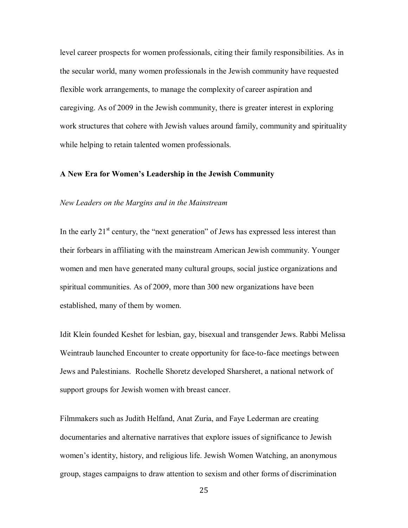level career prospects for women professionals, citing their family responsibilities. As in the secular world, many women professionals in the Jewish community have requested flexible work arrangements, to manage the complexity of career aspiration and caregiving. As of 2009 in the Jewish community, there is greater interest in exploring work structures that cohere with Jewish values around family, community and spirituality while helping to retain talented women professionals.

# **A New Era for Women's Leadership in the Jewish Community**

# *New Leaders on the Margins and in the Mainstream*

In the early  $21<sup>st</sup>$  century, the "next generation" of Jews has expressed less interest than their forbears in affiliating with the mainstream American Jewish community. Younger women and men have generated many cultural groups, social justice organizations and spiritual communities. As of 2009, more than 300 new organizations have been established, many of them by women.

Idit Klein founded Keshet for lesbian, gay, bisexual and transgender Jews. Rabbi Melissa Weintraub launched Encounter to create opportunity for face-to-face meetings between Jews and Palestinians. Rochelle Shoretz developed Sharsheret, a national network of support groups for Jewish women with breast cancer.

Filmmakers such as Judith Helfand, Anat Zuria, and Faye Lederman are creating documentaries and alternative narratives that explore issues of significance to Jewish women's identity, history, and religious life. Jewish Women Watching, an anonymous group, stages campaigns to draw attention to sexism and other forms of discrimination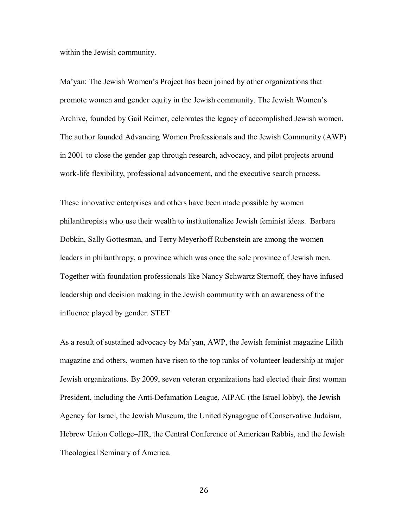within the Jewish community.

Ma'yan: The Jewish Women's Project has been joined by other organizations that promote women and gender equity in the Jewish community. The Jewish Women's Archive, founded by Gail Reimer, celebrates the legacy of accomplished Jewish women. The author founded Advancing Women Professionals and the Jewish Community (AWP) in 2001 to close the gender gap through research, advocacy, and pilot projects around work-life flexibility, professional advancement, and the executive search process.

These innovative enterprises and others have been made possible by women philanthropists who use their wealth to institutionalize Jewish feminist ideas. Barbara Dobkin, Sally Gottesman, and Terry Meyerhoff Rubenstein are among the women leaders in philanthropy, a province which was once the sole province of Jewish men. Together with foundation professionals like Nancy Schwartz Sternoff, they have infused leadership and decision making in the Jewish community with an awareness of the influence played by gender. STET

As a result of sustained advocacy by Ma'yan, AWP, the Jewish feminist magazine Lilith magazine and others, women have risen to the top ranks of volunteer leadership at major Jewish organizations. By 2009, seven veteran organizations had elected their first woman President, including the Anti-Defamation League, AIPAC (the Israel lobby), the Jewish Agency for Israel, the Jewish Museum, the United Synagogue of Conservative Judaism, Hebrew Union College–JIR, the Central Conference of American Rabbis, and the Jewish Theological Seminary of America.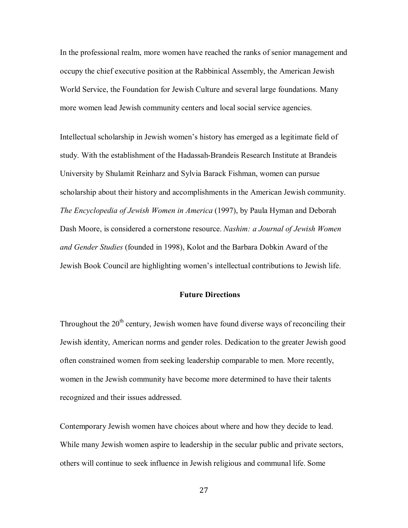In the professional realm, more women have reached the ranks of senior management and occupy the chief executive position at the Rabbinical Assembly, the American Jewish World Service, the Foundation for Jewish Culture and several large foundations. Many more women lead Jewish community centers and local social service agencies.

Intellectual scholarship in Jewish women's history has emerged as a legitimate field of study. With the establishment of the Hadassah-Brandeis Research Institute at Brandeis University by Shulamit Reinharz and Sylvia Barack Fishman, women can pursue scholarship about their history and accomplishments in the American Jewish community. *The Encyclopedia of Jewish Women in America* (1997), by Paula Hyman and Deborah Dash Moore, is considered a cornerstone resource. *Nashim: a Journal of Jewish Women and Gender Studies* (founded in 1998), Kolot and the Barbara Dobkin Award of the Jewish Book Council are highlighting women's intellectual contributions to Jewish life.

# **Future Directions**

Throughout the  $20<sup>th</sup>$  century, Jewish women have found diverse ways of reconciling their Jewish identity, American norms and gender roles. Dedication to the greater Jewish good often constrained women from seeking leadership comparable to men. More recently, women in the Jewish community have become more determined to have their talents recognized and their issues addressed.

Contemporary Jewish women have choices about where and how they decide to lead. While many Jewish women aspire to leadership in the secular public and private sectors, others will continue to seek influence in Jewish religious and communal life. Some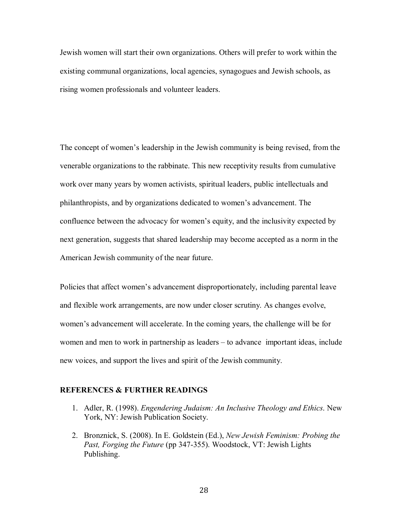Jewish women will start their own organizations. Others will prefer to work within the existing communal organizations, local agencies, synagogues and Jewish schools, as rising women professionals and volunteer leaders.

The concept of women's leadership in the Jewish community is being revised, from the venerable organizations to the rabbinate. This new receptivity results from cumulative work over many years by women activists, spiritual leaders, public intellectuals and philanthropists, and by organizations dedicated to women's advancement. The confluence between the advocacy for women's equity, and the inclusivity expected by next generation, suggests that shared leadership may become accepted as a norm in the American Jewish community of the near future.

Policies that affect women's advancement disproportionately, including parental leave and flexible work arrangements, are now under closer scrutiny. As changes evolve, women's advancement will accelerate. In the coming years, the challenge will be for women and men to work in partnership as leaders – to advance important ideas, include new voices, and support the lives and spirit of the Jewish community.

# **REFERENCES & FURTHER READINGS**

- 1. Adler, R. (1998). *Engendering Judaism: An Inclusive Theology and Ethics*. New York, NY: Jewish Publication Society.
- 2. Bronznick, S. (2008). In E. Goldstein (Ed.), *New Jewish Feminism: Probing the Past, Forging the Future* (pp 347-355). Woodstock, VT: Jewish Lights Publishing.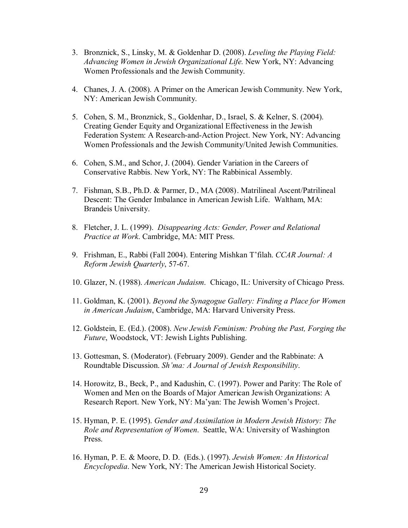- 3. Bronznick, S., Linsky, M. & Goldenhar D. (2008). *Leveling the Playing Field: Advancing Women in Jewish Organizational Life.* New York, NY: Advancing Women Professionals and the Jewish Community.
- 4. Chanes, J. A. (2008). A Primer on the American Jewish Community. New York, NY: American Jewish Community.
- 5. Cohen, S. M., Bronznick, S., Goldenhar, D., Israel, S. & Kelner, S. (2004). Creating Gender Equity and Organizational Effectiveness in the Jewish Federation System: A Research-and-Action Project. New York, NY: Advancing Women Professionals and the Jewish Community/United Jewish Communities.
- 6. Cohen, S.M., and Schor, J. (2004). Gender Variation in the Careers of Conservative Rabbis. New York, NY: The Rabbinical Assembly.
- 7. Fishman, S.B., Ph.D. & Parmer, D., MA (2008). Matrilineal Ascent/Patrilineal Descent: The Gender Imbalance in American Jewish Life. Waltham, MA: Brandeis University.
- 8. Fletcher, J. L. (1999). *Disappearing Acts: Gender, Power and Relational Practice at Work*. Cambridge, MA: MIT Press.
- 9. Frishman, E., Rabbi (Fall 2004). Entering Mishkan T'filah. *CCAR Journal: A Reform Jewish Quarterly*, 57-67.
- 10. Glazer, N. (1988). *American Judaism*. Chicago, IL: University of Chicago Press.
- 11. Goldman, K. (2001). *Beyond the Synagogue Gallery: Finding a Place for Women in American Judaism*, Cambridge, MA: Harvard University Press.
- 12. Goldstein, E. (Ed.). (2008). *New Jewish Feminism: Probing the Past, Forging the Future*, Woodstock, VT: Jewish Lights Publishing.
- 13. Gottesman, S. (Moderator). (February 2009). Gender and the Rabbinate: A Roundtable Discussion. *Sh'ma: A Journal of Jewish Responsibility*.
- 14. Horowitz, B., Beck, P., and Kadushin, C. (1997). Power and Parity: The Role of Women and Men on the Boards of Major American Jewish Organizations: A Research Report. New York, NY: Ma'yan: The Jewish Women's Project.
- 15. Hyman, P. E. (1995). *Gender and Assimilation in Modern Jewish History: The Role and Representation of Women*. Seattle, WA: University of Washington Press.
- 16. Hyman, P. E. & Moore, D. D. (Eds.). (1997). *Jewish Women: An Historical Encyclopedia*. New York, NY: The American Jewish Historical Society.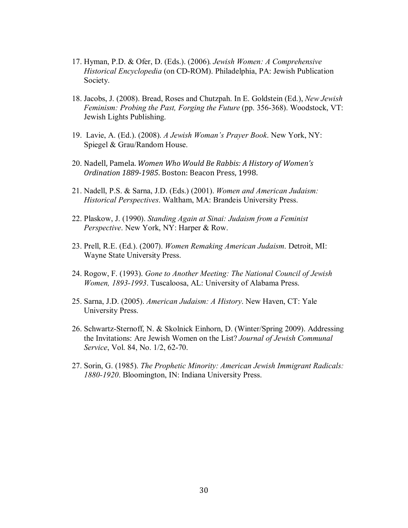- 17. Hyman, P.D. & Ofer, D. (Eds.). (2006). *Jewish Women: A Comprehensive Historical Encyclopedia* (on CD-ROM). Philadelphia, PA: Jewish Publication Society.
- 18. Jacobs, J. (2008). Bread, Roses and Chutzpah. In E. Goldstein (Ed.), *New Jewish Feminism: Probing the Past, Forging the Future* (pp. 356-368). Woodstock, VT: Jewish Lights Publishing.
- 19. Lavie, A. (Ed.). (2008). *A Jewish Woman's Prayer Book*. New York, NY: Spiegel & Grau/Random House.
- 20. Nadell, Pamela. *Women Who Would Be Rabbis: A History of Women's Ordination 18891985*. Boston: Beacon Press, 1998.
- 21. Nadell, P.S. & Sarna, J.D. (Eds.) (2001). *Women and American Judaism: Historical Perspectives*. Waltham, MA: Brandeis University Press.
- 22. Plaskow, J. (1990). *Standing Again at Sinai: Judaism from a Feminist Perspective*. New York, NY: Harper & Row.
- 23. Prell, R.E. (Ed.). (2007). *Women Remaking American Judaism*. Detroit, MI: Wayne State University Press.
- 24. Rogow, F. (1993). *Gone to Another Meeting: The National Council of Jewish Women, 1893-1993*. Tuscaloosa, AL: University of Alabama Press.
- 25. Sarna, J.D. (2005). *American Judaism: A History*. New Haven, CT: Yale University Press.
- 26. Schwartz-Sternoff, N. & Skolnick Einhorn, D. (Winter/Spring 2009). Addressing the Invitations: Are Jewish Women on the List? *Journal of Jewish Communal Service*, Vol. 84, No. 1/2, 62-70.
- 27. Sorin, G. (1985). *The Prophetic Minority: American Jewish Immigrant Radicals: 1880-1920*. Bloomington, IN: Indiana University Press.